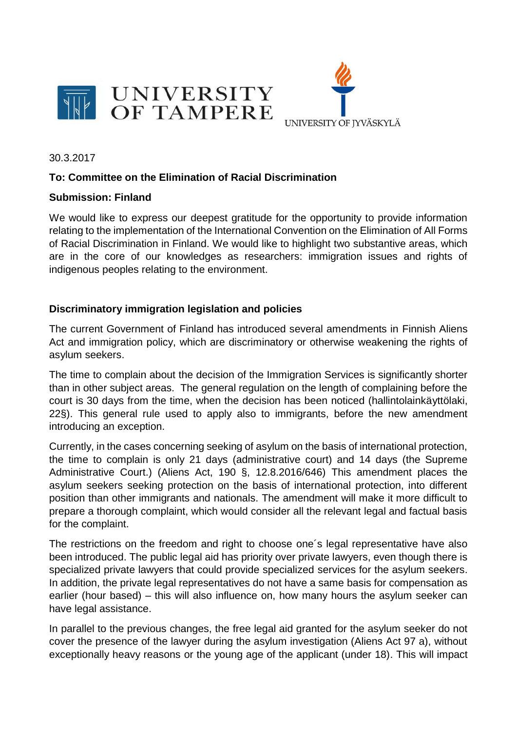



30.3.2017

## **To: Committee on the Elimination of Racial Discrimination**

## **Submission: Finland**

We would like to express our deepest gratitude for the opportunity to provide information relating to the implementation of the International Convention on the Elimination of All Forms of Racial Discrimination in Finland. We would like to highlight two substantive areas, which are in the core of our knowledges as researchers: immigration issues and rights of indigenous peoples relating to the environment.

## **Discriminatory immigration legislation and policies**

The current Government of Finland has introduced several amendments in Finnish Aliens Act and immigration policy, which are discriminatory or otherwise weakening the rights of asylum seekers.

The time to complain about the decision of the Immigration Services is significantly shorter than in other subject areas. The general regulation on the length of complaining before the court is 30 days from the time, when the decision has been noticed (hallintolainkäyttölaki, 22§). This general rule used to apply also to immigrants, before the new amendment introducing an exception.

Currently, in the cases concerning seeking of asylum on the basis of international protection, the time to complain is only 21 days (administrative court) and 14 days (the Supreme Administrative Court.) (Aliens Act, 190 §, 12.8.2016/646) This amendment places the asylum seekers seeking protection on the basis of international protection, into different position than other immigrants and nationals. The amendment will make it more difficult to prepare a thorough complaint, which would consider all the relevant legal and factual basis for the complaint.

The restrictions on the freedom and right to choose one´s legal representative have also been introduced. The public legal aid has priority over private lawyers, even though there is specialized private lawyers that could provide specialized services for the asylum seekers. In addition, the private legal representatives do not have a same basis for compensation as earlier (hour based) – this will also influence on, how many hours the asylum seeker can have legal assistance.

In parallel to the previous changes, the free legal aid granted for the asylum seeker do not cover the presence of the lawyer during the asylum investigation (Aliens Act 97 a), without exceptionally heavy reasons or the young age of the applicant (under 18). This will impact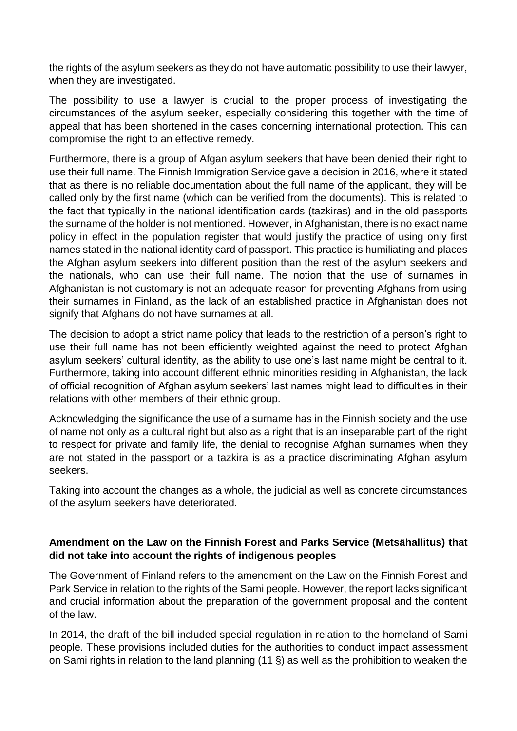the rights of the asylum seekers as they do not have automatic possibility to use their lawyer, when they are investigated.

The possibility to use a lawyer is crucial to the proper process of investigating the circumstances of the asylum seeker, especially considering this together with the time of appeal that has been shortened in the cases concerning international protection. This can compromise the right to an effective remedy.

Furthermore, there is a group of Afgan asylum seekers that have been denied their right to use their full name. The Finnish Immigration Service gave a decision in 2016, where it stated that as there is no reliable documentation about the full name of the applicant, they will be called only by the first name (which can be verified from the documents). This is related to the fact that typically in the national identification cards (tazkiras) and in the old passports the surname of the holder is not mentioned. However, in Afghanistan, there is no exact name policy in effect in the population register that would justify the practice of using only first names stated in the national identity card of passport. This practice is humiliating and places the Afghan asylum seekers into different position than the rest of the asylum seekers and the nationals, who can use their full name. The notion that the use of surnames in Afghanistan is not customary is not an adequate reason for preventing Afghans from using their surnames in Finland, as the lack of an established practice in Afghanistan does not signify that Afghans do not have surnames at all.

The decision to adopt a strict name policy that leads to the restriction of a person's right to use their full name has not been efficiently weighted against the need to protect Afghan asylum seekers' cultural identity, as the ability to use one's last name might be central to it. Furthermore, taking into account different ethnic minorities residing in Afghanistan, the lack of official recognition of Afghan asylum seekers' last names might lead to difficulties in their relations with other members of their ethnic group.

Acknowledging the significance the use of a surname has in the Finnish society and the use of name not only as a cultural right but also as a right that is an inseparable part of the right to respect for private and family life, the denial to recognise Afghan surnames when they are not stated in the passport or a tazkira is as a practice discriminating Afghan asylum seekers.

Taking into account the changes as a whole, the judicial as well as concrete circumstances of the asylum seekers have deteriorated.

## **Amendment on the Law on the Finnish Forest and Parks Service (Metsähallitus) that did not take into account the rights of indigenous peoples**

The Government of Finland refers to the amendment on the Law on the Finnish Forest and Park Service in relation to the rights of the Sami people. However, the report lacks significant and crucial information about the preparation of the government proposal and the content of the law.

In 2014, the draft of the bill included special regulation in relation to the homeland of Sami people. These provisions included duties for the authorities to conduct impact assessment on Sami rights in relation to the land planning (11 §) as well as the prohibition to weaken the